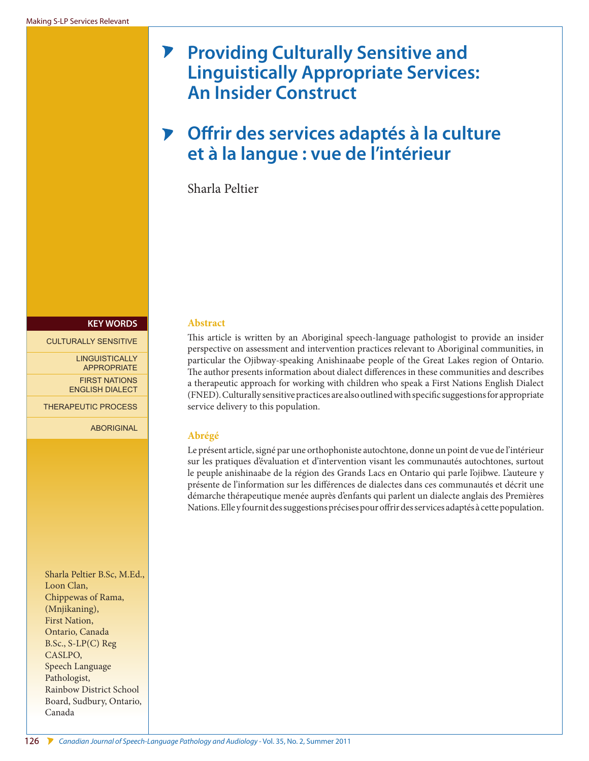# **Providing Culturally Sensitive and**   $\blacktriangleright$ **Linguistically Appropriate Services: An Insider Construct**

# **Offrir des services adaptés à la culture**   $\mathbf{V}$ **et à la langue : vue de l'intérieur**

Sharla Peltier

#### **KEY WORDS**

#### CULTURALLY SENSITIVE

LINGUISTICALLY APPROPRIATE FIRST NATIONS ENGLISH DIALECT

THERAPEUTIC PROCESS

ABORIGINAL

Sharla Peltier <B.Sc>, [M.Ed.](M.Ed), Loon Clan, Chippewas of Rama, (Mnjikaning), First Nation, Ontario, Canada [B.Sc.](B.Sc), S-LP(C) Reg CASLPO, Speech Language Pathologist, Rainbow District School Board, Sudbury, Ontario, Canada

### **Abstract**

This article is written by an Aboriginal speech-language pathologist to provide an insider perspective on assessment and intervention practices relevant to Aboriginal communities, in particular the Ojibway-speaking Anishinaabe people of the Great Lakes region of Ontario. The author presents information about dialect differences in these communities and describes a therapeutic approach for working with children who speak a First Nations English Dialect (FNED). Culturally sensitive practices are also outlined with specific suggestions for appropriate service delivery to this population.

### **Abrégé**

Le présent article, signé par une orthophoniste autochtone, donne un point de vue de l'intérieur sur les pratiques d'évaluation et d'intervention visant les communautés autochtones, surtout le peuple anishinaabe de la région des Grands Lacs en Ontario qui parle l'ojibwe. L'auteure y présente de l'information sur les différences de dialectes dans ces communautés et décrit une démarche thérapeutique menée auprès d'enfants qui parlent un dialecte anglais des Premières Nations. Elle y fournit des suggestions précises pour offrir des services adaptés à cette population.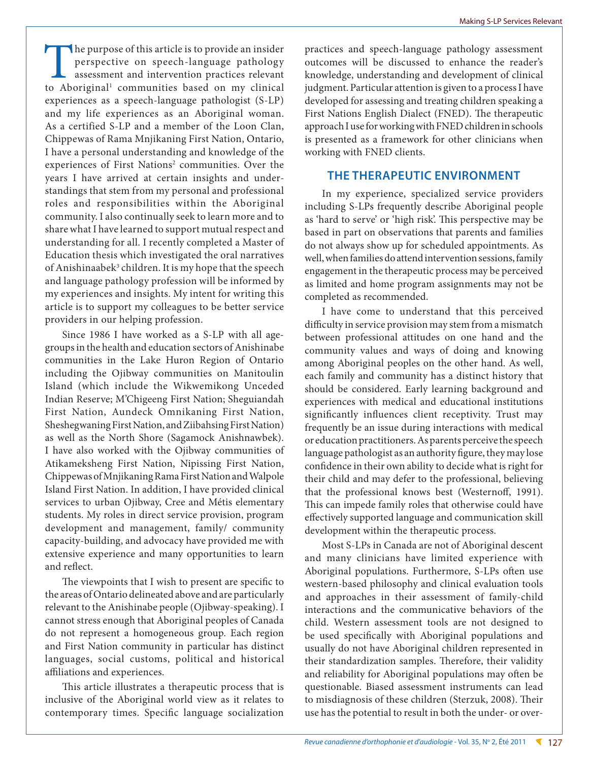The purpose of this article is to provide an insider perspective on speech-language pathology assessment and intervention practices relevant to Aboriginal<sup>1</sup> communities based on my clinical experiences as a speech-language pathologist (S-LP) and my life experiences as an Aboriginal woman. As a certified S-LP and a member of the Loon Clan, Chippewas of Rama Mnjikaning First Nation, Ontario, I have a personal understanding and knowledge of the experiences of First Nations<sup>2</sup> communities. Over the years I have arrived at certain insights and understandings that stem from my personal and professional roles and responsibilities within the Aboriginal community. I also continually seek to learn more and to share what I have learned to support mutual respect and understanding for all. I recently completed a Master of Education thesis which investigated the oral narratives of Anishinaabek<sup>3</sup> children. It is my hope that the speech and language pathology profession will be informed by my experiences and insights. My intent for writing this article is to support my colleagues to be better service providers in our helping profession.

Since 1986 I have worked as a S-LP with all agegroups in the health and education sectors of Anishinabe communities in the Lake Huron Region of Ontario including the Ojibway communities on Manitoulin Island (which include the Wikwemikong Unceded Indian Reserve; M'Chigeeng First Nation; Sheguiandah First Nation, Aundeck Omnikaning First Nation, Sheshegwaning First Nation, and Ziibahsing First Nation) as well as the North Shore (Sagamock Anishnawbek). I have also worked with the Ojibway communities of Atikameksheng First Nation, Nipissing First Nation, Chippewas of Mnjikaning Rama First Nation and Walpole Island First Nation. In addition, I have provided clinical services to urban Ojibway, Cree and Métis elementary students. My roles in direct service provision, program development and management, family/ community capacity-building, and advocacy have provided me with extensive experience and many opportunities to learn and reflect.

The viewpoints that I wish to present are specific to the areas of Ontario delineated above and are particularly relevant to the Anishinabe people (Ojibway-speaking). I cannot stress enough that Aboriginal peoples of Canada do not represent a homogeneous group. Each region and First Nation community in particular has distinct languages, social customs, political and historical affiliations and experiences.

This article illustrates a therapeutic process that is inclusive of the Aboriginal world view as it relates to contemporary times. Specific language socialization practices and speech-language pathology assessment outcomes will be discussed to enhance the reader's knowledge, understanding and development of clinical judgment. Particular attention is given to a process I have developed for assessing and treating children speaking a First Nations English Dialect (FNED). The therapeutic approach I use for working with FNED children in schools is presented as a framework for other clinicians when working with FNED clients.

### **THE THERAPEUTIC ENVIRONMENT**

In my experience, specialized service providers including S-LPs frequently describe Aboriginal people as 'hard to serve' or 'high risk'. This perspective may be based in part on observations that parents and families do not always show up for scheduled appointments. As well, when families do attend intervention sessions, family engagement in the therapeutic process may be perceived as limited and home program assignments may not be completed as recommended.

I have come to understand that this perceived difficulty in service provision may stem from a mismatch between professional attitudes on one hand and the community values and ways of doing and knowing among Aboriginal peoples on the other hand. As well, each family and community has a distinct history that should be considered. Early learning background and experiences with medical and educational institutions significantly influences client receptivity. Trust may frequently be an issue during interactions with medical or education practitioners. As parents perceive the speech language pathologist as an authority figure, they may lose confidence in their own ability to decide what is right for their child and may defer to the professional, believing that the professional knows best (Westernoff, 1991). This can impede family roles that otherwise could have effectively supported language and communication skill development within the therapeutic process.

Most S-LPs in Canada are not of Aboriginal descent and many clinicians have limited experience with Aboriginal populations. Furthermore, S-LPs often use western-based philosophy and clinical evaluation tools and approaches in their assessment of family-child interactions and the communicative behaviors of the child. Western assessment tools are not designed to be used specifically with Aboriginal populations and usually do not have Aboriginal children represented in their standardization samples. Therefore, their validity and reliability for Aboriginal populations may often be questionable. Biased assessment instruments can lead to misdiagnosis of these children (Sterzuk, 2008). Their use has the potential to result in both the under- or over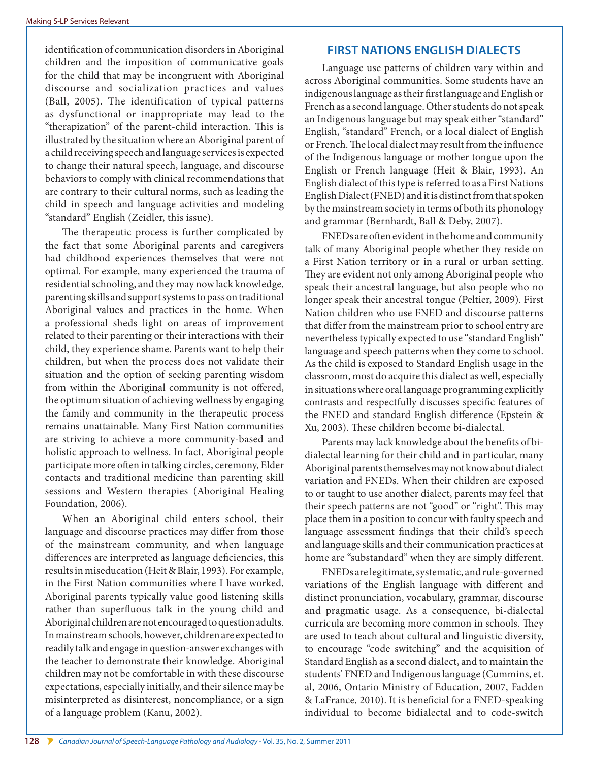identification of communication disorders in Aboriginal children and the imposition of communicative goals for the child that may be incongruent with Aboriginal discourse and socialization practices and values (Ball, 2005). The identification of typical patterns as dysfunctional or inappropriate may lead to the "therapization" of the parent-child interaction. This is illustrated by the situation where an Aboriginal parent of a child receiving speech and language services is expected to change their natural speech, language, and discourse behaviors to comply with clinical recommendations that are contrary to their cultural norms, such as leading the child in speech and language activities and modeling "standard" English (Zeidler, this issue).

The therapeutic process is further complicated by the fact that some Aboriginal parents and caregivers had childhood experiences themselves that were not optimal. For example, many experienced the trauma of residential schooling, and they may now lack knowledge, parenting skills and support systems to pass on traditional Aboriginal values and practices in the home. When a professional sheds light on areas of improvement related to their parenting or their interactions with their child, they experience shame. Parents want to help their children, but when the process does not validate their situation and the option of seeking parenting wisdom from within the Aboriginal community is not offered, the optimum situation of achieving wellness by engaging the family and community in the therapeutic process remains unattainable. Many First Nation communities are striving to achieve a more community-based and holistic approach to wellness. In fact, Aboriginal people participate more often in talking circles, ceremony, Elder contacts and traditional medicine than parenting skill sessions and Western therapies (Aboriginal Healing Foundation, 2006).

When an Aboriginal child enters school, their language and discourse practices may differ from those of the mainstream community, and when language differences are interpreted as language deficiencies, this results in miseducation (Heit & Blair, 1993). For example, in the First Nation communities where I have worked, Aboriginal parents typically value good listening skills rather than superfluous talk in the young child and Aboriginal children are not encouraged to question adults. In mainstream schools, however, children are expected to readily talk and engage in question-answer exchanges with the teacher to demonstrate their knowledge. Aboriginal children may not be comfortable in with these discourse expectations, especially initially, and their silence may be misinterpreted as disinterest, noncompliance, or a sign of a language problem (Kanu, 2002).

# **FIRST NATIONS ENGLISH DIALECTS**

Language use patterns of children vary within and across Aboriginal communities. Some students have an indigenous language as their first language and English or French as a second language. Other students do not speak an Indigenous language but may speak either "standard" English, "standard" French, or a local dialect of English or French. The local dialect may result from the influence of the Indigenous language or mother tongue upon the English or French language (Heit & Blair, 1993). An English dialect of this type is referred to as a First Nations English Dialect (FNED) and it is distinct from that spoken by the mainstream society in terms of both its phonology and grammar (Bernhardt, Ball & Deby, 2007).

FNEDs are often evident in the home and community talk of many Aboriginal people whether they reside on a First Nation territory or in a rural or urban setting. They are evident not only among Aboriginal people who speak their ancestral language, but also people who no longer speak their ancestral tongue (Peltier, 2009). First Nation children who use FNED and discourse patterns that differ from the mainstream prior to school entry are nevertheless typically expected to use "standard English" language and speech patterns when they come to school. As the child is exposed to Standard English usage in the classroom, most do acquire this dialect as well, especially in situations where oral language programming explicitly contrasts and respectfully discusses specific features of the FNED and standard English difference (Epstein & Xu, 2003). These children become bi-dialectal.

Parents may lack knowledge about the benefits of bidialectal learning for their child and in particular, many Aboriginal parents themselves may not know about dialect variation and FNEDs. When their children are exposed to or taught to use another dialect, parents may feel that their speech patterns are not "good" or "right". This may place them in a position to concur with faulty speech and language assessment findings that their child's speech and language skills and their communication practices at home are "substandard" when they are simply different.

FNEDs are legitimate, systematic, and rule-governed variations of the English language with different and distinct pronunciation, vocabulary, grammar, discourse and pragmatic usage. As a consequence, bi-dialectal curricula are becoming more common in schools. They are used to teach about cultural and linguistic diversity, to encourage "code switching" and the acquisition of Standard English as a second dialect, and to maintain the students' FNED and Indigenous language (Cummins, et. al, 2006, Ontario Ministry of Education, 2007, Fadden & LaFrance, 2010). It is beneficial for a FNED-speaking individual to become bidialectal and to code-switch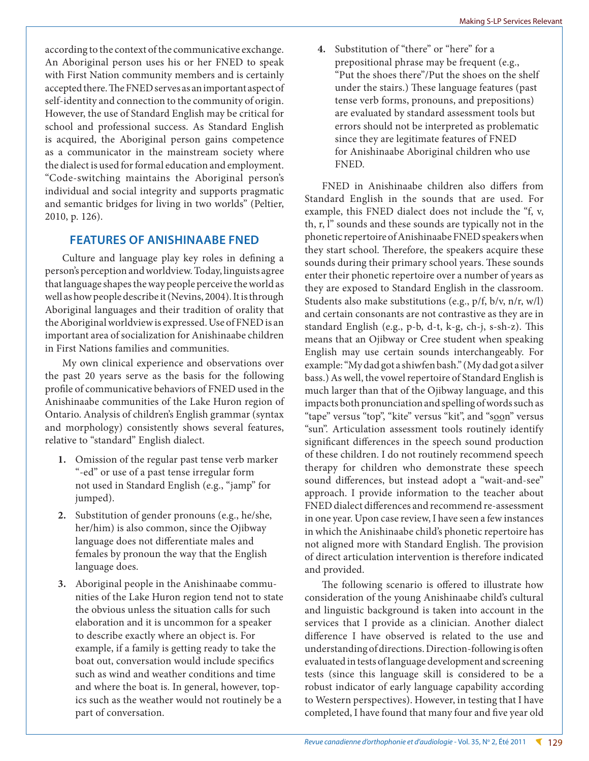according to the context of the communicative exchange. An Aboriginal person uses his or her FNED to speak with First Nation community members and is certainly accepted there. The FNED serves as an important aspect of self-identity and connection to the community of origin. However, the use of Standard English may be critical for school and professional success. As Standard English is acquired, the Aboriginal person gains competence as a communicator in the mainstream society where the dialect is used for formal education and employment. "Code-switching maintains the Aboriginal person's individual and social integrity and supports pragmatic and semantic bridges for living in two worlds" (Peltier, 2010, p. 126).

### **FEATURES OF ANISHINAABE FNED**

Culture and language play key roles in defining a person's perception and worldview. Today, linguists agree that language shapes the way people perceive the world as well as how people describe it (Nevins, 2004). It is through Aboriginal languages and their tradition of orality that the Aboriginal worldview is expressed. Use of FNED is an important area of socialization for Anishinaabe children in First Nations families and communities.

My own clinical experience and observations over the past 20 years serve as the basis for the following profile of communicative behaviors of FNED used in the Anishinaabe communities of the Lake Huron region of Ontario. Analysis of children's English grammar (syntax and morphology) consistently shows several features, relative to "standard" English dialect.

- **1.** Omission of the regular past tense verb marker "-ed" or use of a past tense irregular form not used in Standard English (e.g., "jamp" for jumped).
- **2.** Substitution of gender pronouns (e.g., he/she, her/him) is also common, since the Ojibway language does not differentiate males and females by pronoun the way that the English language does.
- **3.** Aboriginal people in the Anishinaabe communities of the Lake Huron region tend not to state the obvious unless the situation calls for such elaboration and it is uncommon for a speaker to describe exactly where an object is. For example, if a family is getting ready to take the boat out, conversation would include specifics such as wind and weather conditions and time and where the boat is. In general, however, topics such as the weather would not routinely be a part of conversation.

**4.** Substitution of "there" or "here" for a prepositional phrase may be frequent (e.g., "Put the shoes there"/Put the shoes on the shelf under the stairs.) These language features (past tense verb forms, pronouns, and prepositions) are evaluated by standard assessment tools but errors should not be interpreted as problematic since they are legitimate features of FNED for Anishinaabe Aboriginal children who use FNED.

FNED in Anishinaabe children also differs from Standard English in the sounds that are used. For example, this FNED dialect does not include the "f, v, th, r, l" sounds and these sounds are typically not in the phonetic repertoire of Anishinaabe FNED speakers when they start school. Therefore, the speakers acquire these sounds during their primary school years. These sounds enter their phonetic repertoire over a number of years as they are exposed to Standard English in the classroom. Students also make substitutions (e.g., p/f, b/v, n/r, w/l) and certain consonants are not contrastive as they are in standard English (e.g., p-b, d-t, k-g, ch-j, s-sh-z). This means that an Ojibway or Cree student when speaking English may use certain sounds interchangeably. For example: "My dad got a shiwfen bash." (My dad got a silver bass.) As well, the vowel repertoire of Standard English is much larger than that of the Ojibway language, and this impacts both pronunciation and spelling of words such as "tape" versus "top", "kite" versus "kit", and "soon" versus "sun". Articulation assessment tools routinely identify significant differences in the speech sound production of these children. I do not routinely recommend speech therapy for children who demonstrate these speech sound differences, but instead adopt a "wait-and-see" approach. I provide information to the teacher about FNED dialect differences and recommend re-assessment in one year. Upon case review, I have seen a few instances in which the Anishinaabe child's phonetic repertoire has not aligned more with Standard English. The provision of direct articulation intervention is therefore indicated and provided.

The following scenario is offered to illustrate how consideration of the young Anishinaabe child's cultural and linguistic background is taken into account in the services that I provide as a clinician. Another dialect difference I have observed is related to the use and understanding of directions. Direction-following is often evaluated in tests of language development and screening tests (since this language skill is considered to be a robust indicator of early language capability according to Western perspectives). However, in testing that I have completed, I have found that many four and five year old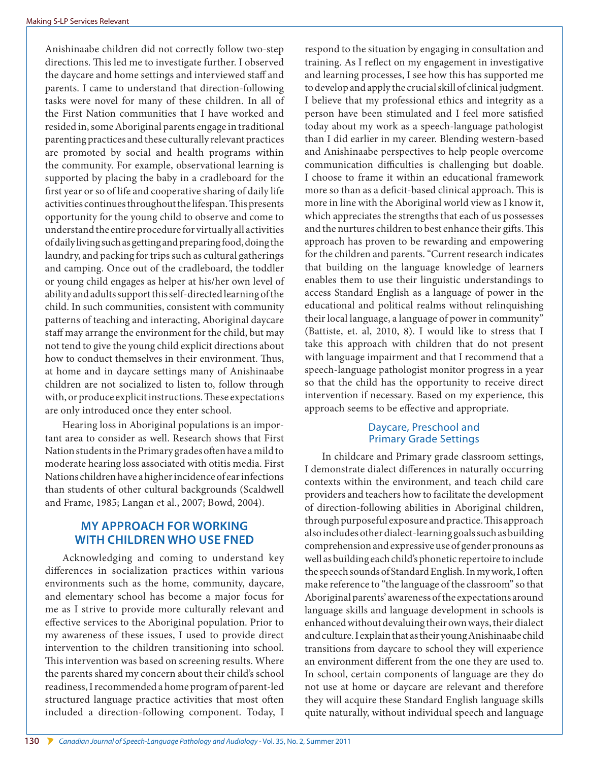Anishinaabe children did not correctly follow two-step directions. This led me to investigate further. I observed the daycare and home settings and interviewed staff and parents. I came to understand that direction-following tasks were novel for many of these children. In all of the First Nation communities that I have worked and resided in, some Aboriginal parents engage in traditional parenting practices and these culturally relevant practices are promoted by social and health programs within the community. For example, observational learning is supported by placing the baby in a cradleboard for the first year or so of life and cooperative sharing of daily life activities continues throughout the lifespan. This presents opportunity for the young child to observe and come to understand the entire procedure for virtually all activities of daily living such as getting and preparing food, doing the laundry, and packing for trips such as cultural gatherings and camping. Once out of the cradleboard, the toddler or young child engages as helper at his/her own level of ability and adults support this self-directed learning of the child. In such communities, consistent with community patterns of teaching and interacting, Aboriginal daycare staff may arrange the environment for the child, but may not tend to give the young child explicit directions about how to conduct themselves in their environment. Thus, at home and in daycare settings many of Anishinaabe children are not socialized to listen to, follow through with, or produce explicit instructions. These expectations are only introduced once they enter school.

Hearing loss in Aboriginal populations is an important area to consider as well. Research shows that First Nation students in the Primary grades often have a mild to moderate hearing loss associated with otitis media. First Nations children have a higher incidence of ear infections than students of other cultural backgrounds (Scaldwell and Frame, 1985; Langan et al., 2007; Bowd, 2004).

## **MY APPROACH FOR WORKING WITH CHILDREN WHO USE FNED**

Acknowledging and coming to understand key differences in socialization practices within various environments such as the home, community, daycare, and elementary school has become a major focus for me as I strive to provide more culturally relevant and effective services to the Aboriginal population. Prior to my awareness of these issues, I used to provide direct intervention to the children transitioning into school. This intervention was based on screening results. Where the parents shared my concern about their child's school readiness, I recommended a home program of parent-led structured language practice activities that most often included a direction-following component. Today, I

respond to the situation by engaging in consultation and training. As I reflect on my engagement in investigative and learning processes, I see how this has supported me to develop and apply the crucial skill of clinical judgment. I believe that my professional ethics and integrity as a person have been stimulated and I feel more satisfied today about my work as a speech-language pathologist than I did earlier in my career. Blending western-based and Anishinaabe perspectives to help people overcome communication difficulties is challenging but doable. I choose to frame it within an educational framework more so than as a deficit-based clinical approach. This is more in line with the Aboriginal world view as I know it, which appreciates the strengths that each of us possesses and the nurtures children to best enhance their gifts. This approach has proven to be rewarding and empowering for the children and parents. "Current research indicates that building on the language knowledge of learners enables them to use their linguistic understandings to access Standard English as a language of power in the educational and political realms without relinquishing their local language, a language of power in community" (Battiste, et. al, 2010, 8). I would like to stress that I take this approach with children that do not present with language impairment and that I recommend that a speech-language pathologist monitor progress in a year so that the child has the opportunity to receive direct intervention if necessary. Based on my experience, this approach seems to be effective and appropriate.

### Daycare, Preschool and Primary Grade Settings

In childcare and Primary grade classroom settings, I demonstrate dialect differences in naturally occurring contexts within the environment, and teach child care providers and teachers how to facilitate the development of direction-following abilities in Aboriginal children, through purposeful exposure and practice. This approach also includes other dialect-learning goals such as building comprehension and expressive use of gender pronouns as well as building each child's phonetic repertoire to include the speech sounds of Standard English. In my work, I often make reference to "the language of the classroom" so that Aboriginal parents' awareness of the expectations around language skills and language development in schools is enhanced without devaluing their own ways, their dialect and culture. I explain that as their young Anishinaabe child transitions from daycare to school they will experience an environment different from the one they are used to. In school, certain components of language are they do not use at home or daycare are relevant and therefore they will acquire these Standard English language skills quite naturally, without individual speech and language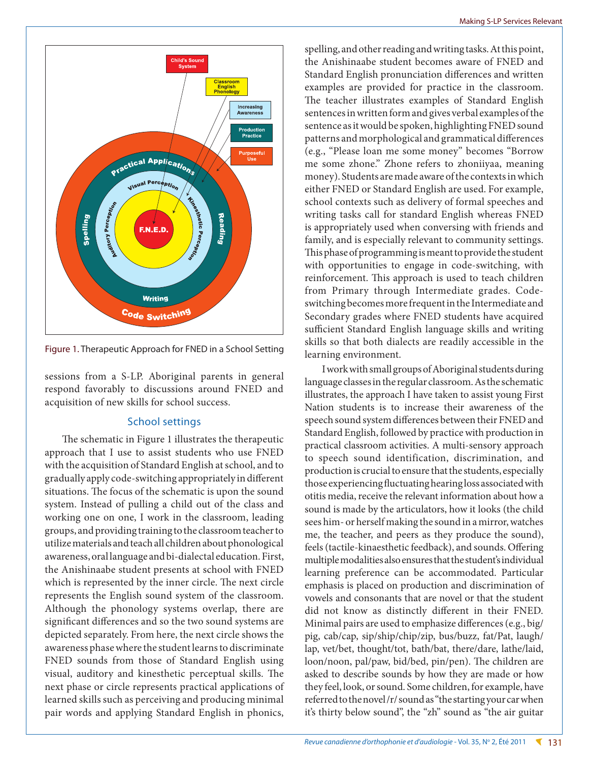

Figure 1. Therapeutic Approach for FNED in a School Setting

sessions from a S-LP. Aboriginal parents in general respond favorably to discussions around FNED and acquisition of new skills for school success.

#### School settings

The schematic in Figure 1 illustrates the therapeutic approach that I use to assist students who use FNED with the acquisition of Standard English at school, and to gradually apply code-switching appropriately in different situations. The focus of the schematic is upon the sound system. Instead of pulling a child out of the class and working one on one, I work in the classroom, leading groups, and providing training to the classroom teacher to utilize materials and teach all children about phonological awareness, oral language and bi-dialectal education. First, the Anishinaabe student presents at school with FNED which is represented by the inner circle. The next circle represents the English sound system of the classroom. Although the phonology systems overlap, there are significant differences and so the two sound systems are depicted separately. From here, the next circle shows the awareness phase where the student learns to discriminate FNED sounds from those of Standard English using visual, auditory and kinesthetic perceptual skills. The next phase or circle represents practical applications of learned skills such as perceiving and producing minimal pair words and applying Standard English in phonics,

spelling, and other reading and writing tasks. At this point, the Anishinaabe student becomes aware of FNED and Standard English pronunciation differences and written examples are provided for practice in the classroom. The teacher illustrates examples of Standard English sentences in written form and gives verbal examples of the sentence as it would be spoken, highlighting FNED sound patterns and morphological and grammatical differences (e.g., "Please loan me some money" becomes "Borrow me some zhone." Zhone refers to zhoniiyaa, meaning money). Students are made aware of the contexts in which either FNED or Standard English are used. For example, school contexts such as delivery of formal speeches and writing tasks call for standard English whereas FNED is appropriately used when conversing with friends and family, and is especially relevant to community settings. This phase of programming is meant to provide the student with opportunities to engage in code-switching, with reinforcement. This approach is used to teach children from Primary through Intermediate grades. Codeswitching becomes more frequent in the Intermediate and Secondary grades where FNED students have acquired sufficient Standard English language skills and writing skills so that both dialects are readily accessible in the learning environment.

I work with small groups of Aboriginal students during language classes in the regular classroom. As the schematic illustrates, the approach I have taken to assist young First Nation students is to increase their awareness of the speech sound system differences between their FNED and Standard English, followed by practice with production in practical classroom activities. A multi-sensory approach to speech sound identification, discrimination, and production is crucial to ensure that the students, especially those experiencing fluctuating hearing loss associated with otitis media, receive the relevant information about how a sound is made by the articulators, how it looks (the child sees him- or herself making the sound in a mirror, watches me, the teacher, and peers as they produce the sound), feels (tactile-kinaesthetic feedback), and sounds. Offering multiple modalities also ensures that the student's individual learning preference can be accommodated. Particular emphasis is placed on production and discrimination of vowels and consonants that are novel or that the student did not know as distinctly different in their FNED. Minimal pairs are used to emphasize differences (e.g., big/ pig, cab/cap, sip/ship/chip/zip, bus/buzz, fat/Pat, laugh/ lap, vet/bet, thought/tot, bath/bat, there/dare, lathe/laid, loon/noon, pal/paw, bid/bed, pin/pen). The children are asked to describe sounds by how they are made or how they feel, look, or sound. Some children, for example, have referred to the novel /r/ sound as "the starting your car when it's thirty below sound", the "zh" sound as "the air guitar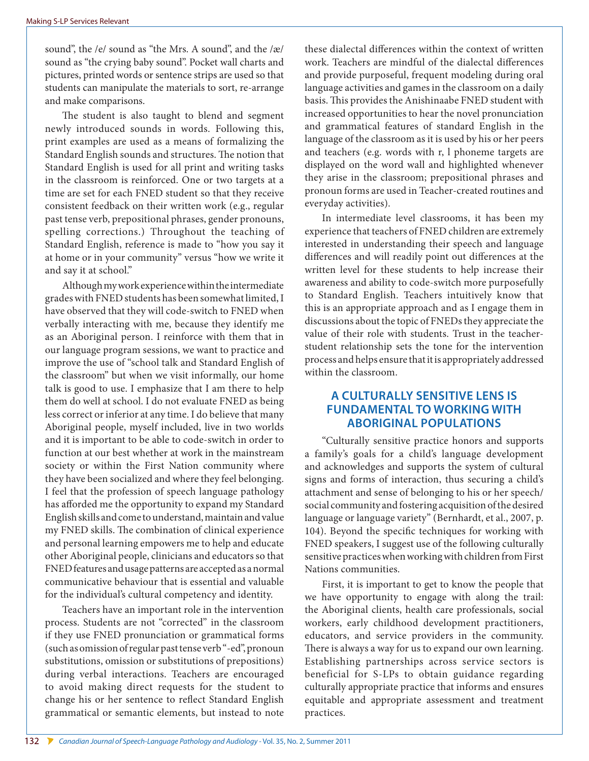sound", the /e/ sound as "the Mrs. A sound", and the /æ/ sound as "the crying baby sound". Pocket wall charts and pictures, printed words or sentence strips are used so that students can manipulate the materials to sort, re-arrange and make comparisons.

The student is also taught to blend and segment newly introduced sounds in words. Following this, print examples are used as a means of formalizing the Standard English sounds and structures. The notion that Standard English is used for all print and writing tasks in the classroom is reinforced. One or two targets at a time are set for each FNED student so that they receive consistent feedback on their written work (e.g., regular past tense verb, prepositional phrases, gender pronouns, spelling corrections.) Throughout the teaching of Standard English, reference is made to "how you say it at home or in your community" versus "how we write it and say it at school."

Although my work experience within the intermediate grades with FNED students has been somewhat limited, I have observed that they will code-switch to FNED when verbally interacting with me, because they identify me as an Aboriginal person. I reinforce with them that in our language program sessions, we want to practice and improve the use of "school talk and Standard English of the classroom" but when we visit informally, our home talk is good to use. I emphasize that I am there to help them do well at school. I do not evaluate FNED as being less correct or inferior at any time. I do believe that many Aboriginal people, myself included, live in two worlds and it is important to be able to code-switch in order to function at our best whether at work in the mainstream society or within the First Nation community where they have been socialized and where they feel belonging. I feel that the profession of speech language pathology has afforded me the opportunity to expand my Standard English skills and come to understand, maintain and value my FNED skills. The combination of clinical experience and personal learning empowers me to help and educate other Aboriginal people, clinicians and educators so that FNED features and usage patterns are accepted as a normal communicative behaviour that is essential and valuable for the individual's cultural competency and identity.

Teachers have an important role in the intervention process. Students are not "corrected" in the classroom if they use FNED pronunciation or grammatical forms (such as omission of regular past tense verb "-ed", pronoun substitutions, omission or substitutions of prepositions) during verbal interactions. Teachers are encouraged to avoid making direct requests for the student to change his or her sentence to reflect Standard English grammatical or semantic elements, but instead to note

these dialectal differences within the context of written work. Teachers are mindful of the dialectal differences and provide purposeful, frequent modeling during oral language activities and games in the classroom on a daily basis. This provides the Anishinaabe FNED student with increased opportunities to hear the novel pronunciation and grammatical features of standard English in the language of the classroom as it is used by his or her peers and teachers (e.g. words with r, l phoneme targets are displayed on the word wall and highlighted whenever they arise in the classroom; prepositional phrases and pronoun forms are used in Teacher-created routines and everyday activities).

In intermediate level classrooms, it has been my experience that teachers of FNED children are extremely interested in understanding their speech and language differences and will readily point out differences at the written level for these students to help increase their awareness and ability to code-switch more purposefully to Standard English. Teachers intuitively know that this is an appropriate approach and as I engage them in discussions about the topic of FNEDs they appreciate the value of their role with students. Trust in the teacherstudent relationship sets the tone for the intervention process and helps ensure that it is appropriately addressed within the classroom.

### **A CULTURALLY SENSITIVE LENS IS FUNDAMENTAL TO WORKING WITH ABORIGINAL POPULATIONS**

"Culturally sensitive practice honors and supports a family's goals for a child's language development and acknowledges and supports the system of cultural signs and forms of interaction, thus securing a child's attachment and sense of belonging to his or her speech/ social community and fostering acquisition of the desired language or language variety" (Bernhardt, et al., 2007, p. 104). Beyond the specific techniques for working with FNED speakers, I suggest use of the following culturally sensitive practices when working with children from First Nations communities.

First, it is important to get to know the people that we have opportunity to engage with along the trail: the Aboriginal clients, health care professionals, social workers, early childhood development practitioners, educators, and service providers in the community. There is always a way for us to expand our own learning. Establishing partnerships across service sectors is beneficial for S-LPs to obtain guidance regarding culturally appropriate practice that informs and ensures equitable and appropriate assessment and treatment practices.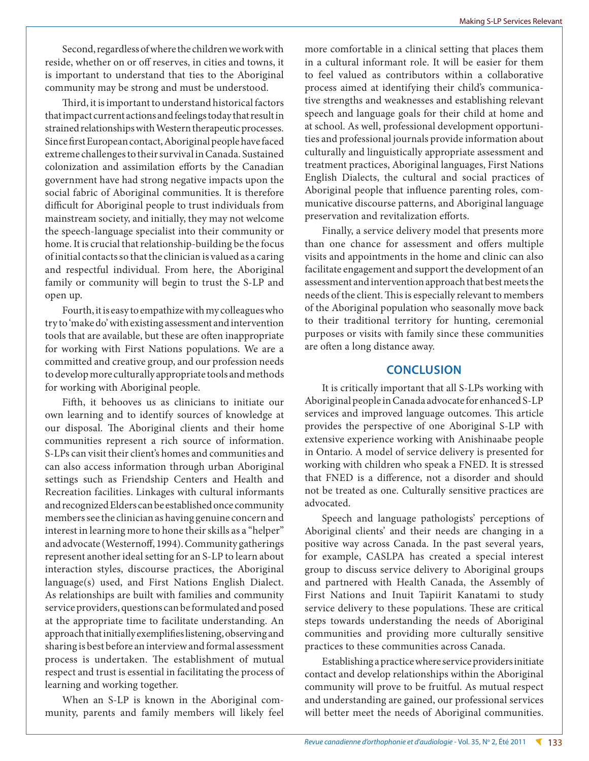Second, regardless of where the children we work with reside, whether on or off reserves, in cities and towns, it is important to understand that ties to the Aboriginal community may be strong and must be understood.

Third, it is important to understand historical factors that impact current actions and feelings today that result in strained relationships with Western therapeutic processes. Since first European contact, Aboriginal people have faced extreme challenges to their survival in Canada. Sustained colonization and assimilation efforts by the Canadian government have had strong negative impacts upon the social fabric of Aboriginal communities. It is therefore difficult for Aboriginal people to trust individuals from mainstream society, and initially, they may not welcome the speech-language specialist into their community or home. It is crucial that relationship-building be the focus of initial contacts so that the clinician is valued as a caring and respectful individual. From here, the Aboriginal family or community will begin to trust the S-LP and open up.

Fourth, it is easy to empathize with my colleagues who try to 'make do' with existing assessment and intervention tools that are available, but these are often inappropriate for working with First Nations populations. We are a committed and creative group, and our profession needs to develop more culturally appropriate tools and methods for working with Aboriginal people.

Fifth, it behooves us as clinicians to initiate our own learning and to identify sources of knowledge at our disposal. The Aboriginal clients and their home communities represent a rich source of information. S-LPs can visit their client's homes and communities and can also access information through urban Aboriginal settings such as Friendship Centers and Health and Recreation facilities. Linkages with cultural informants and recognized Elders can be established once community members see the clinician as having genuine concern and interest in learning more to hone their skills as a "helper" and advocate (Westernoff, 1994). Community gatherings represent another ideal setting for an S-LP to learn about interaction styles, discourse practices, the Aboriginal language(s) used, and First Nations English Dialect. As relationships are built with families and community service providers, questions can be formulated and posed at the appropriate time to facilitate understanding. An approach that initially exemplifies listening, observing and sharing is best before an interview and formal assessment process is undertaken. The establishment of mutual respect and trust is essential in facilitating the process of learning and working together.

When an S-LP is known in the Aboriginal community, parents and family members will likely feel more comfortable in a clinical setting that places them in a cultural informant role. It will be easier for them to feel valued as contributors within a collaborative process aimed at identifying their child's communicative strengths and weaknesses and establishing relevant speech and language goals for their child at home and at school. As well, professional development opportunities and professional journals provide information about culturally and linguistically appropriate assessment and treatment practices, Aboriginal languages, First Nations English Dialects, the cultural and social practices of Aboriginal people that influence parenting roles, communicative discourse patterns, and Aboriginal language preservation and revitalization efforts.

Finally, a service delivery model that presents more than one chance for assessment and offers multiple visits and appointments in the home and clinic can also facilitate engagement and support the development of an assessment and intervention approach that best meets the needs of the client. This is especially relevant to members of the Aboriginal population who seasonally move back to their traditional territory for hunting, ceremonial purposes or visits with family since these communities are often a long distance away.

#### **CONCLUSION**

It is critically important that all S-LPs working with Aboriginal people in Canada advocate for enhanced S-LP services and improved language outcomes. This article provides the perspective of one Aboriginal S-LP with extensive experience working with Anishinaabe people in Ontario. A model of service delivery is presented for working with children who speak a FNED. It is stressed that FNED is a difference, not a disorder and should not be treated as one. Culturally sensitive practices are advocated.

Speech and language pathologists' perceptions of Aboriginal clients' and their needs are changing in a positive way across Canada. In the past several years, for example, CASLPA has created a special interest group to discuss service delivery to Aboriginal groups and partnered with Health Canada, the Assembly of First Nations and Inuit Tapiirit Kanatami to study service delivery to these populations. These are critical steps towards understanding the needs of Aboriginal communities and providing more culturally sensitive practices to these communities across Canada.

Establishing a practice where service providers initiate contact and develop relationships within the Aboriginal community will prove to be fruitful. As mutual respect and understanding are gained, our professional services will better meet the needs of Aboriginal communities.